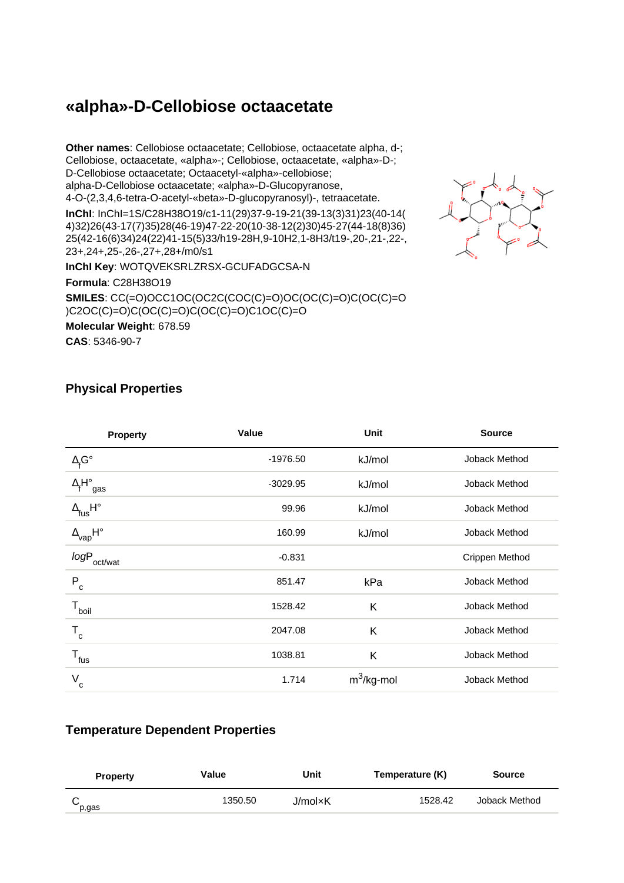# **«alpha»-D-Cellobiose octaacetate**

**Other names**: Cellobiose octaacetate; Cellobiose, octaacetate alpha, d-; Cellobiose, octaacetate, «alpha»-; Cellobiose, octaacetate, «alpha»-D-; D-Cellobiose octaacetate; Octaacetyl-«alpha»-cellobiose; alpha-D-Cellobiose octaacetate; «alpha»-D-Glucopyranose, 4-O-(2,3,4,6-tetra-O-acetyl-«beta»-D-glucopyranosyl)-, tetraacetate. **InChI**: InChI=1S/C28H38O19/c1-11(29)37-9-19-21(39-13(3)31)23(40-14( 4)32)26(43-17(7)35)28(46-19)47-22-20(10-38-12(2)30)45-27(44-18(8)36) 25(42-16(6)34)24(22)41-15(5)33/h19-28H,9-10H2,1-8H3/t19-,20-,21-,22-, 23+,24+,25-,26-,27+,28+/m0/s1



**InChI Key**: WOTQVEKSRLZRSX-GCUFADGCSA-N

**Formula**: C28H38O19

**SMILES**: CC(=O)OCC1OC(OC2C(COC(C)=O)OC(OC(C)=O)C(OC(C)=O )C2OC(C)=O)C(OC(C)=O)C(OC(C)=O)C1OC(C)=O

**Molecular Weight**: 678.59 **CAS**: 5346-90-7

### **Physical Properties**

| <b>Property</b>                       | Value      | <b>Unit</b>   | <b>Source</b>  |
|---------------------------------------|------------|---------------|----------------|
| $\Delta_{\mathsf{f}}\mathsf{G}^\circ$ | $-1976.50$ | kJ/mol        | Joback Method  |
| $\Delta_f H^\circ_{\text{ gas}}$      | $-3029.95$ | kJ/mol        | Joback Method  |
| $\Delta_{\text{fus}} H^{\circ}$       | 99.96      | kJ/mol        | Joback Method  |
| $\Delta_{\text{vap}}$ H°              | 160.99     | kJ/mol        | Joback Method  |
| logP<br>oct/wat                       | $-0.831$   |               | Crippen Method |
| $P_c$                                 | 851.47     | kPa           | Joback Method  |
| $T_{\text{boil}}$                     | 1528.42    | K             | Joback Method  |
| $T_c$                                 | 2047.08    | Κ             | Joback Method  |
| $T_{fus}$                             | 1038.81    | K             | Joback Method  |
| V<br>c                                | 1.714      | $m^3$ /kg-mol | Joback Method  |

#### **Temperature Dependent Properties**

| <b>Property</b> | Value   | Unit    | Temperature (K) | <b>Source</b> |
|-----------------|---------|---------|-----------------|---------------|
| p,gas           | 1350.50 | J/mol×K | 1528.42         | Joback Method |